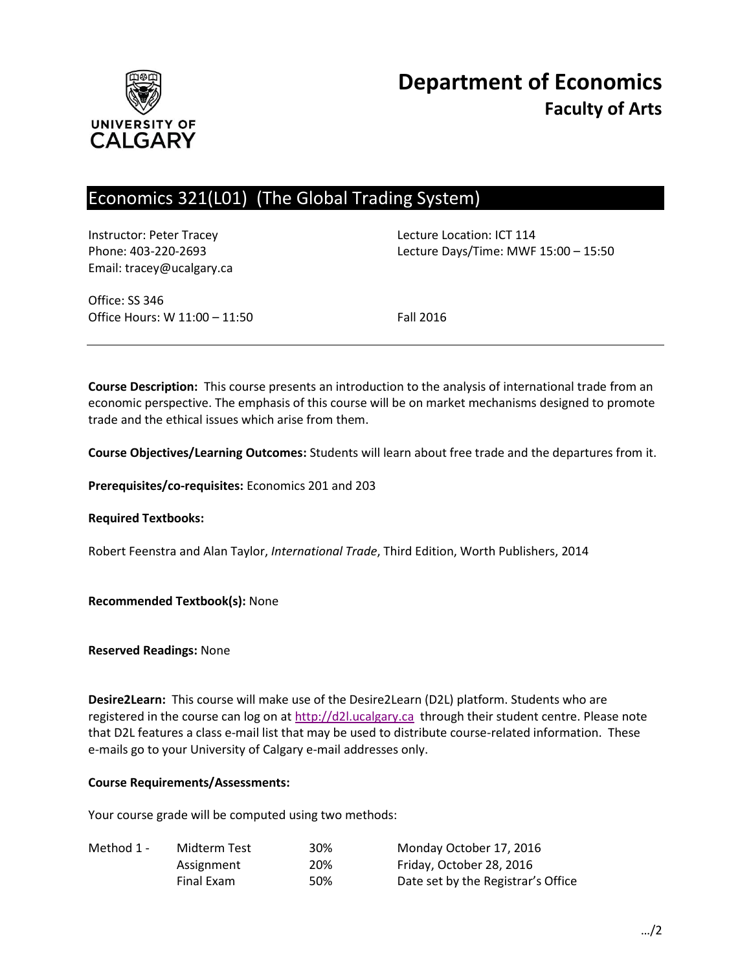

# Economics 321(L01) (The Global Trading System)

Instructor: Peter Tracey Lecture Location: ICT 114 Email: tracey@ucalgary.ca

Phone: 403-220-2693 Lecture Days/Time: MWF 15:00 – 15:50

Office: SS 346 Office Hours: W 11:00 – 11:50 Fall 2016

**Course Description:** This course presents an introduction to the analysis of international trade from an economic perspective. The emphasis of this course will be on market mechanisms designed to promote trade and the ethical issues which arise from them.

**Course Objectives/Learning Outcomes:** Students will learn about free trade and the departures from it.

**Prerequisites/co-requisites:** Economics 201 and 203

**Required Textbooks:**

Robert Feenstra and Alan Taylor, *International Trade*, Third Edition, Worth Publishers, 2014

**Recommended Textbook(s):** None

**Reserved Readings:** None

**Desire2Learn:** This course will make use of the Desire2Learn (D2L) platform. Students who are registered in the course can log on at [http://d2l.ucalgary.ca](http://d2l.ucalgary.ca/) through their student centre. Please note that D2L features a class e-mail list that may be used to distribute course-related information. These e-mails go to your University of Calgary e-mail addresses only.

#### **Course Requirements/Assessments:**

Your course grade will be computed using two methods:

| Method 1 - | Midterm Test | 30% | Monday October 17, 2016            |
|------------|--------------|-----|------------------------------------|
|            | Assignment   | 20% | Friday, October 28, 2016           |
|            | Final Exam   | 50% | Date set by the Registrar's Office |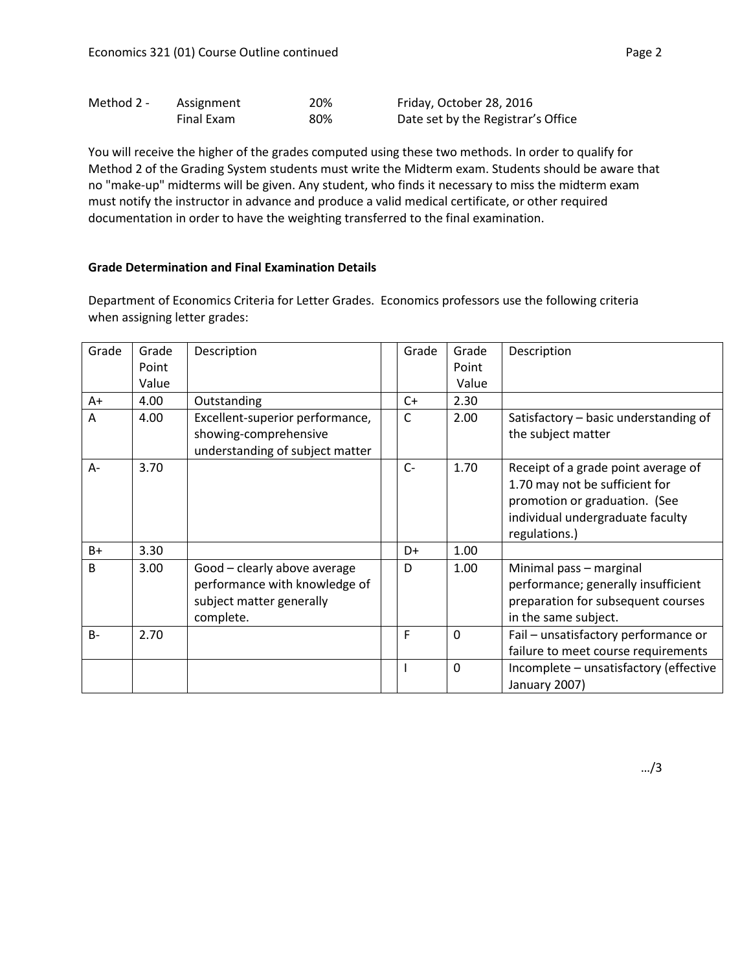| Method 2 - | Assignment | 20% | Friday, October 28, 2016           |
|------------|------------|-----|------------------------------------|
|            | Final Exam | 80% | Date set by the Registrar's Office |

You will receive the higher of the grades computed using these two methods. In order to qualify for Method 2 of the Grading System students must write the Midterm exam. Students should be aware that no "make-up" midterms will be given. Any student, who finds it necessary to miss the midterm exam must notify the instructor in advance and produce a valid medical certificate, or other required documentation in order to have the weighting transferred to the final examination.

#### **Grade Determination and Final Examination Details**

Department of Economics Criteria for Letter Grades. Economics professors use the following criteria when assigning letter grades:

| Grade | Grade<br>Point<br>Value | Description                                                                                            | Grade | Grade<br>Point<br>Value | Description                                                                                                                                                 |
|-------|-------------------------|--------------------------------------------------------------------------------------------------------|-------|-------------------------|-------------------------------------------------------------------------------------------------------------------------------------------------------------|
| A+    | 4.00                    | Outstanding                                                                                            | $C+$  | 2.30                    |                                                                                                                                                             |
| A     | 4.00                    | Excellent-superior performance,<br>showing-comprehensive<br>understanding of subject matter            | C     | 2.00                    | Satisfactory - basic understanding of<br>the subject matter                                                                                                 |
| $A -$ | 3.70                    |                                                                                                        | $C -$ | 1.70                    | Receipt of a grade point average of<br>1.70 may not be sufficient for<br>promotion or graduation. (See<br>individual undergraduate faculty<br>regulations.) |
| B+    | 3.30                    |                                                                                                        | D+    | 1.00                    |                                                                                                                                                             |
| B.    | 3.00                    | Good - clearly above average<br>performance with knowledge of<br>subject matter generally<br>complete. | D     | 1.00                    | Minimal pass - marginal<br>performance; generally insufficient<br>preparation for subsequent courses<br>in the same subject.                                |
| $B -$ | 2.70                    |                                                                                                        | F     | $\Omega$                | Fail - unsatisfactory performance or<br>failure to meet course requirements                                                                                 |
|       |                         |                                                                                                        |       | $\Omega$                | Incomplete - unsatisfactory (effective<br>January 2007)                                                                                                     |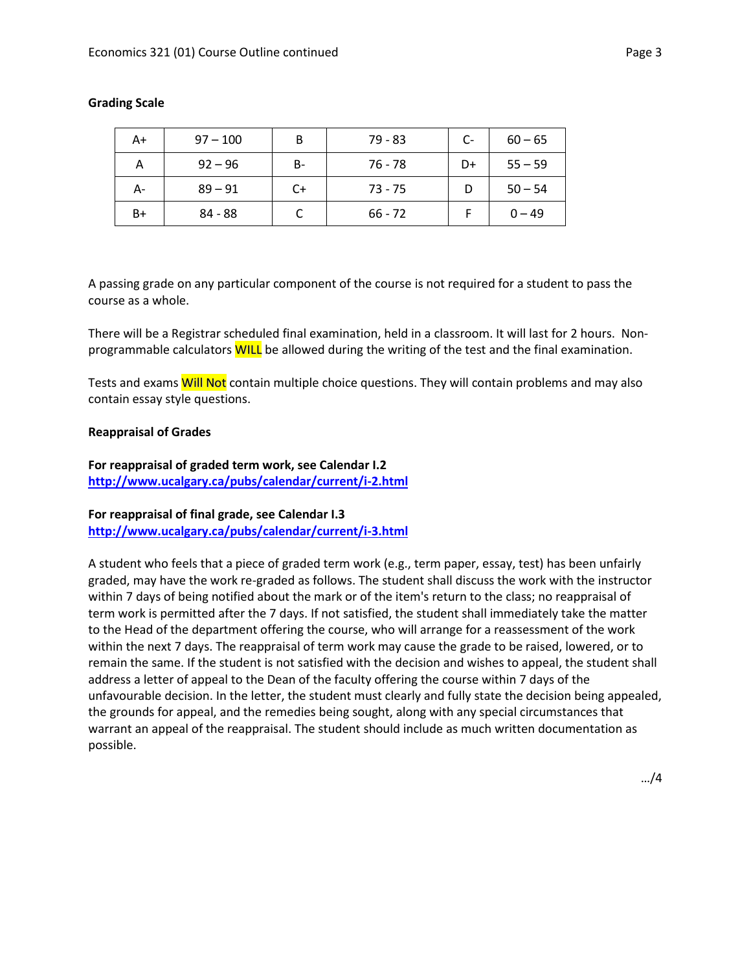| A+   | $97 - 100$ | B  | $79 - 83$ | $C-$ | $60 - 65$ |
|------|------------|----|-----------|------|-----------|
| А    | $92 - 96$  | в- | 76 - 78   | D+   | $55 - 59$ |
| А-   | $89 - 91$  | C+ | $73 - 75$ |      | $50 - 54$ |
| $B+$ | 84 - 88    |    | $66 - 72$ |      | $0 - 49$  |

## **Grading Scale**

A passing grade on any particular component of the course is not required for a student to pass the course as a whole.

There will be a Registrar scheduled final examination, held in a classroom. It will last for 2 hours. Nonprogrammable calculators WILL be allowed during the writing of the test and the final examination.

Tests and exams Will Not contain multiple choice questions. They will contain problems and may also contain essay style questions.

#### **Reappraisal of Grades**

**For reappraisal of graded term work, see Calendar I.2 <http://www.ucalgary.ca/pubs/calendar/current/i-2.html>**

## **For reappraisal of final grade, see Calendar I.3 <http://www.ucalgary.ca/pubs/calendar/current/i-3.html>**

A student who feels that a piece of graded term work (e.g., term paper, essay, test) has been unfairly graded, may have the work re-graded as follows. The student shall discuss the work with the instructor within 7 days of being notified about the mark or of the item's return to the class; no reappraisal of term work is permitted after the 7 days. If not satisfied, the student shall immediately take the matter to the Head of the department offering the course, who will arrange for a reassessment of the work within the next 7 days. The reappraisal of term work may cause the grade to be raised, lowered, or to remain the same. If the student is not satisfied with the decision and wishes to appeal, the student shall address a letter of appeal to the Dean of the faculty offering the course within 7 days of the unfavourable decision. In the letter, the student must clearly and fully state the decision being appealed, the grounds for appeal, and the remedies being sought, along with any special circumstances that warrant an appeal of the reappraisal. The student should include as much written documentation as possible.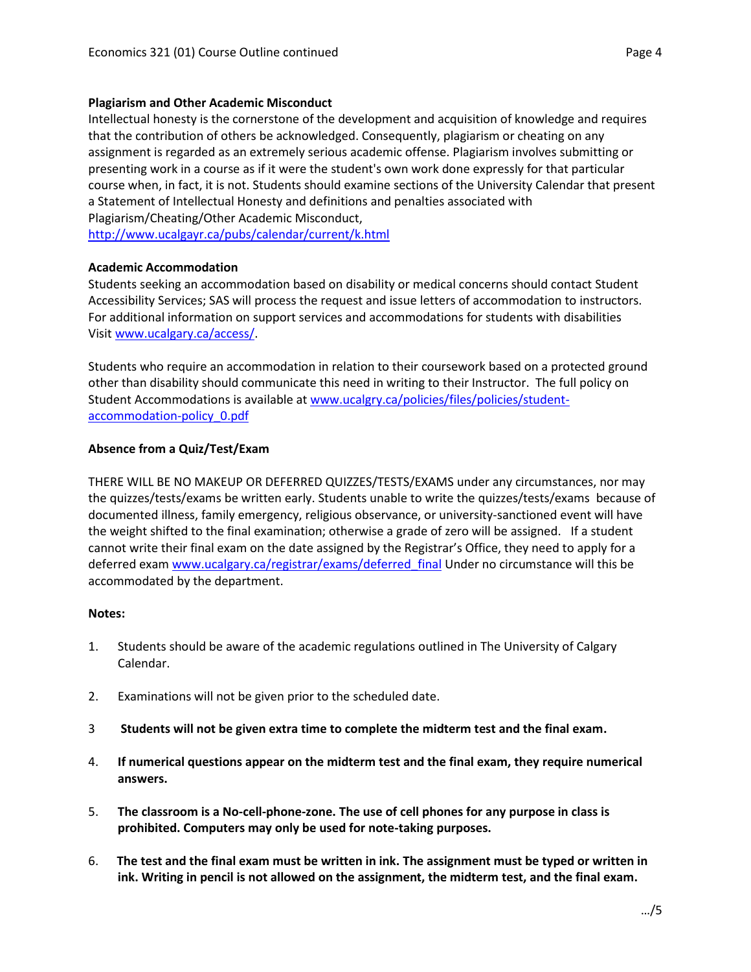Intellectual honesty is the cornerstone of the development and acquisition of knowledge and requires that the contribution of others be acknowledged. Consequently, plagiarism or cheating on any assignment is regarded as an extremely serious academic offense. Plagiarism involves submitting or presenting work in a course as if it were the student's own work done expressly for that particular course when, in fact, it is not. Students should examine sections of the University Calendar that present a Statement of Intellectual Honesty and definitions and penalties associated with Plagiarism/Cheating/Other Academic Misconduct,

<http://www.ucalgayr.ca/pubs/calendar/current/k.html>

#### **Academic Accommodation**

Students seeking an accommodation based on disability or medical concerns should contact Student Accessibility Services; SAS will process the request and issue letters of accommodation to instructors. For additional information on support services and accommodations for students with disabilities Visit [www.ucalgary.ca/access/.](http://www.ucalgary.ca/access/)

Students who require an accommodation in relation to their coursework based on a protected ground other than disability should communicate this need in writing to their Instructor. The full policy on Student Accommodations is available at [www.ucalgry.ca/policies/files/policies/student](http://www.ucalgry.ca/policies/files/policies/student-accommodation-policy_0.pdf)[accommodation-policy\\_0.pdf](http://www.ucalgry.ca/policies/files/policies/student-accommodation-policy_0.pdf)

## **Absence from a Quiz/Test/Exam**

THERE WILL BE NO MAKEUP OR DEFERRED QUIZZES/TESTS/EXAMS under any circumstances, nor may the quizzes/tests/exams be written early. Students unable to write the quizzes/tests/exams because of documented illness, family emergency, religious observance, or university-sanctioned event will have the weight shifted to the final examination; otherwise a grade of zero will be assigned. If a student cannot write their final exam on the date assigned by the Registrar's Office, they need to apply for a deferred exam www.ucalgary.ca/registrar/exams/deferred final Under no circumstance will this be accommodated by the department.

## **Notes:**

- 1. Students should be aware of the academic regulations outlined in The University of Calgary Calendar.
- 2. Examinations will not be given prior to the scheduled date.
- 3 **Students will not be given extra time to complete the midterm test and the final exam.**
- 4. **If numerical questions appear on the midterm test and the final exam, they require numerical answers.**
- 5. **The classroom is a No-cell-phone-zone. The use of cell phones for any purpose in class is prohibited. Computers may only be used for note-taking purposes.**
- 6. **The test and the final exam must be written in ink. The assignment must be typed or written in ink. Writing in pencil is not allowed on the assignment, the midterm test, and the final exam.**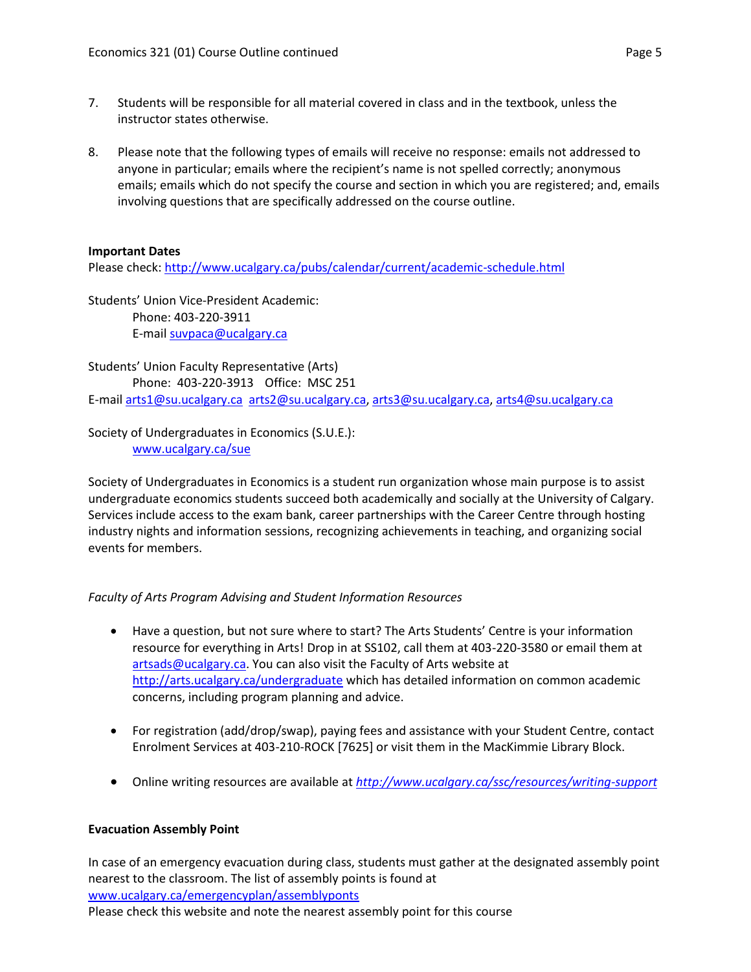- 7. Students will be responsible for all material covered in class and in the textbook, unless the instructor states otherwise.
- 8. Please note that the following types of emails will receive no response: emails not addressed to anyone in particular; emails where the recipient's name is not spelled correctly; anonymous emails; emails which do not specify the course and section in which you are registered; and, emails involving questions that are specifically addressed on the course outline.

## **Important Dates**

Please check:<http://www.ucalgary.ca/pubs/calendar/current/academic-schedule.html>

Students' Union Vice-President Academic: Phone: 403-220-3911 E-mai[l suvpaca@ucalgary.ca](mailto:subpaca@ucalgary.ca)

Students' Union Faculty Representative (Arts) Phone: 403-220-3913 Office: MSC 251 E-mai[l arts1@su.ucalgary.ca](mailto:arts1@su.ucalgary.ca) [arts2@su.ucalgary.ca,](mailto:arts2@su.ucalgary.ca) [arts3@su.ucalgary.ca,](mailto:arts3@su.ucalgary.ca) [arts4@su.ucalgary.ca](mailto:arts4@su.ucalgary.ca)

Society of Undergraduates in Economics (S.U.E.): [www.ucalgary.ca/sue](http://www.fp.ucalgary.ca/econ)

Society of Undergraduates in Economics is a student run organization whose main purpose is to assist undergraduate economics students succeed both academically and socially at the University of Calgary. Services include access to the exam bank, career partnerships with the Career Centre through hosting industry nights and information sessions, recognizing achievements in teaching, and organizing social events for members.

# *Faculty of Arts Program Advising and Student Information Resources*

- Have a question, but not sure where to start? The Arts Students' Centre is your information resource for everything in Arts! Drop in at SS102, call them at 403-220-3580 or email them at [artsads@ucalgary.ca.](mailto:artsads@ucalgary.ca) You can also visit the Faculty of Arts website at <http://arts.ucalgary.ca/undergraduate> which has detailed information on common academic concerns, including program planning and advice.
- For registration (add/drop/swap), paying fees and assistance with your Student Centre, contact Enrolment Services at 403-210-ROCK [7625] or visit them in the MacKimmie Library Block.
- Online writing resources are available at *<http://www.ucalgary.ca/ssc/resources/writing-support>*

## **Evacuation Assembly Point**

In case of an emergency evacuation during class, students must gather at the designated assembly point nearest to the classroom. The list of assembly points is found at [www.ucalgary.ca/emergencyplan/assemblyponts](http://www.ucalgary.ca/emergencyplan/assemblyponts) Please check this website and note the nearest assembly point for this course